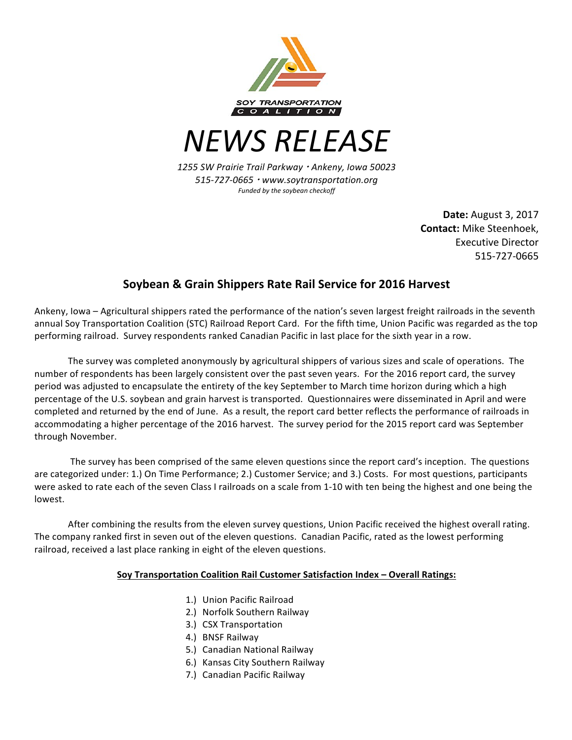

*NEWS RELEASE*

*1255 SW Prairie Trail Parkway* <sup>¬</sup> *Ankeny, Iowa 50023 515-727-0665* <sup>¬</sup> *www.soytransportation.org* Funded by the soybean checkoff

> **Date:** August 3, 2017 **Contact:** Mike Steenhoek. Executive Director 515-727-0665

## **Soybean & Grain Shippers Rate Rail Service for 2016 Harvest**

Ankeny, Iowa - Agricultural shippers rated the performance of the nation's seven largest freight railroads in the seventh annual Soy Transportation Coalition (STC) Railroad Report Card. For the fifth time, Union Pacific was regarded as the top performing railroad. Survey respondents ranked Canadian Pacific in last place for the sixth year in a row.

The survey was completed anonymously by agricultural shippers of various sizes and scale of operations. The number of respondents has been largely consistent over the past seven years. For the 2016 report card, the survey period was adjusted to encapsulate the entirety of the key September to March time horizon during which a high percentage of the U.S. soybean and grain harvest is transported. Questionnaires were disseminated in April and were completed and returned by the end of June. As a result, the report card better reflects the performance of railroads in accommodating a higher percentage of the 2016 harvest. The survey period for the 2015 report card was September through November.

The survey has been comprised of the same eleven questions since the report card's inception. The questions are categorized under: 1.) On Time Performance; 2.) Customer Service; and 3.) Costs. For most questions, participants were asked to rate each of the seven Class I railroads on a scale from 1-10 with ten being the highest and one being the lowest. 

After combining the results from the eleven survey questions, Union Pacific received the highest overall rating. The company ranked first in seven out of the eleven questions. Canadian Pacific, rated as the lowest performing railroad, received a last place ranking in eight of the eleven questions.

## **<u>Soy Transportation Coalition Rail Customer Satisfaction Index - Overall Ratings:</u>**

- 1.) Union Pacific Railroad
- 2.) Norfolk Southern Railway
- 3.) CSX Transportation
- 4.) BNSF Railway
- 5.) Canadian National Railway
- 6.) Kansas City Southern Railway
- 7.) Canadian Pacific Railway